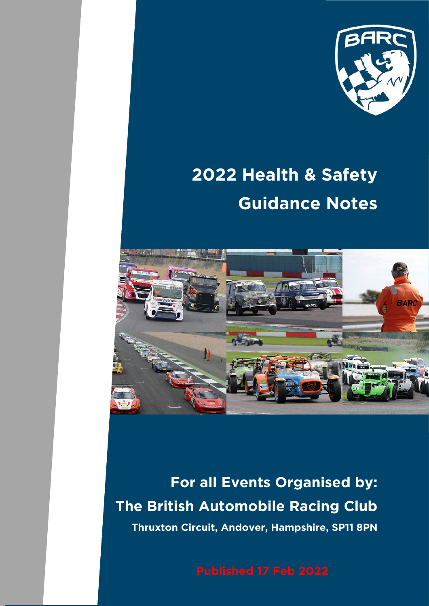

# **2022 Health & Safety Guidance Notes**



**For all Events Organised by: The British Automobile Racing Club Thruxton Circuit, Andover, Hampshire, SP11 8PN**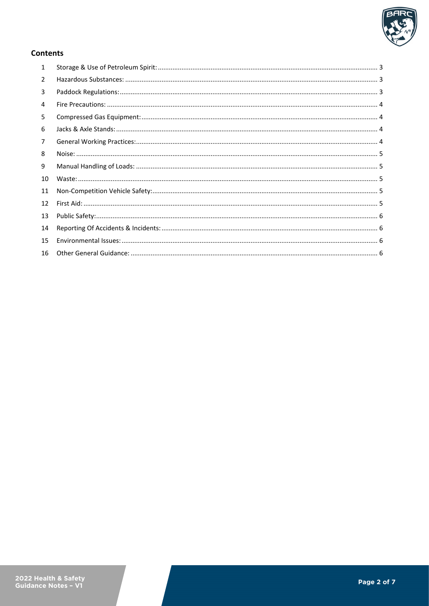

## **Contents**

| $\mathbf{1}$   |  |
|----------------|--|
| $\overline{2}$ |  |
| 3              |  |
| 4              |  |
| 5              |  |
| 6              |  |
| 7              |  |
| 8              |  |
| 9              |  |
| 10             |  |
| 11             |  |
| 12             |  |
| 13             |  |
| 14             |  |
| 15             |  |
| 16             |  |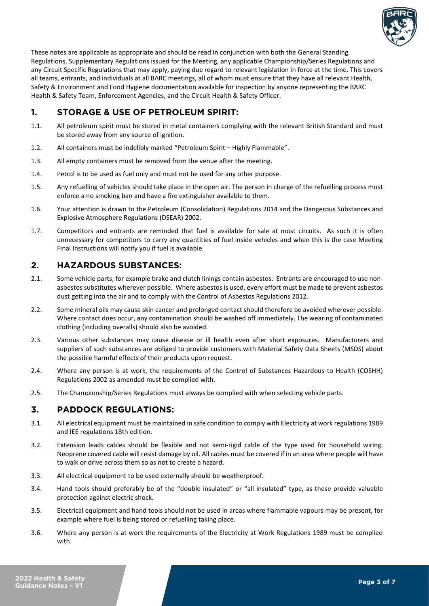

These notes are applicable as appropriate and should be read in conjunction with both the General Standing Regulations, Supplementary Regulations issued for the Meeting, any applicable Championship/Series Regulations and any Circuit Specific Regulations that may apply, paying due regard to relevant legislation in force at the time. This covers all teams, entrants, and individuals at all BARC meetings, all of whom must ensure that they have all relevant Health, Safety & Environment and Food Hygiene documentation available for inspection by anyone representing the BARC Health & Safety Team, Enforcement Agencies, and the Circuit Health & Safety Officer.

# <span id="page-2-0"></span>**1. STORAGE & USE OF PETROLEUM SPIRIT:**

- 1.1. All petroleum spirit must be stored in metal containers complying with the relevant British Standard and must be stored away from any source of ignition.
- 1.2. All containers must be indelibly marked "Petroleum Spirit Highly Flammable".
- 1.3. All empty containers must be removed from the venue after the meeting.
- 1.4. Petrol is to be used as fuel only and must not be used for any other purpose.
- 1.5. Any refuelling of vehicles should take place in the open air. The person in charge of the refuelling process must enforce a no smoking ban and have a fire extinguisher available to them.
- 1.6. Your attention is drawn to the Petroleum (Consolidation) Regulations 2014 and the Dangerous Substances and Explosive Atmosphere Regulations (DSEAR) 2002.
- 1.7. Competitors and entrants are reminded that fuel is available for sale at most circuits. As such it is often unnecessary for competitors to carry any quantities of fuel inside vehicles and when this is the case Meeting Final Instructions will notify you if fuel is available.

# <span id="page-2-1"></span>**2. HAZARDOUS SUBSTANCES:**

- 2.1. Some vehicle parts, for example brake and clutch linings contain asbestos. Entrants are encouraged to use nonasbestos substitutes wherever possible. Where asbestos is used, every effort must be made to prevent asbestos dust getting into the air and to comply with the Control of Asbestos Regulations 2012.
- 2.2. Some mineral oils may cause skin cancer and prolonged contact should therefore be avoided wherever possible. Where contact does occur, any contamination should be washed off immediately. The wearing of contaminated clothing (including overalls) should also be avoided.
- 2.3. Various other substances may cause disease or ill health even after short exposures. Manufacturers and suppliers of such substances are obliged to provide customers with Material Safety Data Sheets (MSDS) about the possible harmful effects of their products upon request.
- 2.4. Where any person is at work, the requirements of the Control of Substances Hazardous to Health (COSHH) Regulations 2002 as amended must be complied with.
- 2.5. The Championship/Series Regulations must always be complied with when selecting vehicle parts.

## <span id="page-2-2"></span>**3. PADDOCK REGULATIONS:**

- 3.1. All electrical equipment must be maintained in safe condition to comply with Electricity at work regulations 1989 and IEE regulations 18th edition.
- 3.2. Extension leads cables should be flexible and not semi-rigid cable of the type used for household wiring. Neoprene covered cable will resist damage by oil. All cables must be covered if in an area where people will have to walk or drive across them so as not to create a hazard.
- 3.3. All electrical equipment to be used externally should be weatherproof.
- 3.4. Hand tools should preferably be of the "double insulated" or "all insulated" type, as these provide valuable protection against electric shock.
- 3.5. Electrical equipment and hand tools should not be used in areas where flammable vapours may be present, for example where fuel is being stored or refuelling taking place.
- 3.6. Where any person is at work the requirements of the Electricity at Work Regulations 1989 must be complied with.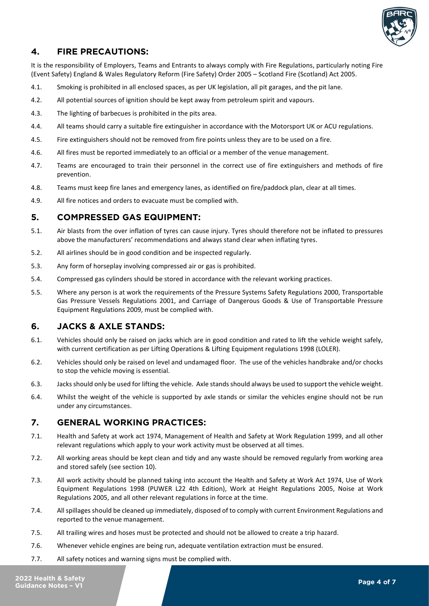

# <span id="page-3-0"></span>**4. FIRE PRECAUTIONS:**

It is the responsibility of Employers, Teams and Entrants to always comply with Fire Regulations, particularly noting Fire (Event Safety) England & Wales Regulatory Reform (Fire Safety) Order 2005 – Scotland Fire (Scotland) Act 2005.

- 4.1. Smoking is prohibited in all enclosed spaces, as per UK legislation, all pit garages, and the pit lane.
- 4.2. All potential sources of ignition should be kept away from petroleum spirit and vapours.
- 4.3. The lighting of barbecues is prohibited in the pits area.
- 4.4. All teams should carry a suitable fire extinguisher in accordance with the Motorsport UK or ACU regulations.
- 4.5. Fire extinguishers should not be removed from fire points unless they are to be used on a fire.
- 4.6. All fires must be reported immediately to an official or a member of the venue management.
- 4.7. Teams are encouraged to train their personnel in the correct use of fire extinguishers and methods of fire prevention.
- 4.8. Teams must keep fire lanes and emergency lanes, as identified on fire/paddock plan, clear at all times.
- 4.9. All fire notices and orders to evacuate must be complied with.

## <span id="page-3-1"></span>**5. COMPRESSED GAS EQUIPMENT:**

- 5.1. Air blasts from the over inflation of tyres can cause injury. Tyres should therefore not be inflated to pressures above the manufacturers' recommendations and always stand clear when inflating tyres.
- 5.2. All airlines should be in good condition and be inspected regularly.
- 5.3. Any form of horseplay involving compressed air or gas is prohibited.
- 5.4. Compressed gas cylinders should be stored in accordance with the relevant working practices.
- 5.5. Where any person is at work the requirements of the Pressure Systems Safety Regulations 2000, Transportable Gas Pressure Vessels Regulations 2001, and Carriage of Dangerous Goods & Use of Transportable Pressure Equipment Regulations 2009, must be complied with.

# <span id="page-3-2"></span>**6. JACKS & AXLE STANDS:**

- 6.1. Vehicles should only be raised on jacks which are in good condition and rated to lift the vehicle weight safely, with current certification as per Lifting Operations & Lifting Equipment regulations 1998 (LOLER).
- 6.2. Vehicles should only be raised on level and undamaged floor. The use of the vehicles handbrake and/or chocks to stop the vehicle moving is essential.
- 6.3. Jacks should only be used for lifting the vehicle. Axle stands should always be used to support the vehicle weight.
- 6.4. Whilst the weight of the vehicle is supported by axle stands or similar the vehicles engine should not be run under any circumstances.

## <span id="page-3-3"></span>**7. GENERAL WORKING PRACTICES:**

- 7.1. Health and Safety at work act 1974, Management of Health and Safety at Work Regulation 1999, and all other relevant regulations which apply to your work activity must be observed at all times.
- 7.2. All working areas should be kept clean and tidy and any waste should be removed regularly from working area and stored safely (see section [10\)](#page-4-2).
- 7.3. All work activity should be planned taking into account the Health and Safety at Work Act 1974, Use of Work Equipment Regulations 1998 (PUWER L22 4th Edition), Work at Height Regulations 2005, Noise at Work Regulations 2005, and all other relevant regulations in force at the time.
- 7.4. All spillages should be cleaned up immediately, disposed of to comply with current Environment Regulations and reported to the venue management.
- 7.5. All trailing wires and hoses must be protected and should not be allowed to create a trip hazard.
- 7.6. Whenever vehicle engines are being run, adequate ventilation extraction must be ensured.
- 7.7. All safety notices and warning signs must be complied with.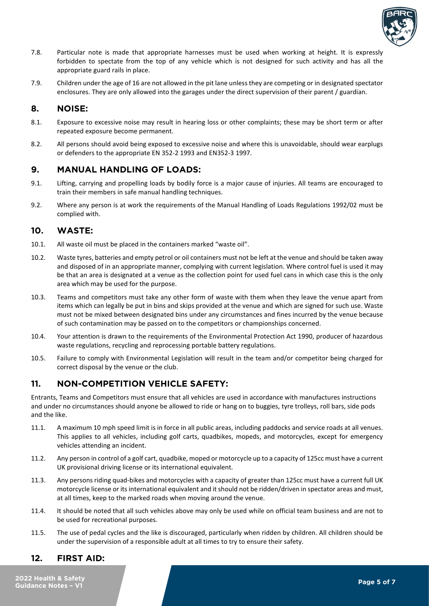

- 7.8. Particular note is made that appropriate harnesses must be used when working at height. It is expressly forbidden to spectate from the top of any vehicle which is not designed for such activity and has all the appropriate guard rails in place.
- 7.9. Children under the age of 16 are not allowed in the pit lane unless they are competing or in designated spectator enclosures. They are only allowed into the garages under the direct supervision of their parent / guardian.

#### <span id="page-4-0"></span>**8. NOISE:**

- 8.1. Exposure to excessive noise may result in hearing loss or other complaints; these may be short term or after repeated exposure become permanent.
- 8.2. All persons should avoid being exposed to excessive noise and where this is unavoidable, should wear earplugs or defenders to the appropriate EN 352-2 1993 and EN352-3 1997.

#### <span id="page-4-1"></span>**9. MANUAL HANDLING OF LOADS:**

- 9.1. Lifting, carrying and propelling loads by bodily force is a major cause of injuries. All teams are encouraged to train their members in safe manual handling techniques.
- 9.2. Where any person is at work the requirements of the Manual Handling of Loads Regulations 1992/02 must be complied with.

#### <span id="page-4-2"></span>**10. WASTE:**

- 10.1. All waste oil must be placed in the containers marked "waste oil".
- 10.2. Waste tyres, batteries and empty petrol or oil containers must not be left at the venue and should be taken away and disposed of in an appropriate manner, complying with current legislation. Where control fuel is used it may be that an area is designated at a venue as the collection point for used fuel cans in which case this is the only area which may be used for the purpose.
- 10.3. Teams and competitors must take any other form of waste with them when they leave the venue apart from items which can legally be put in bins and skips provided at the venue and which are signed for such use. Waste must not be mixed between designated bins under any circumstances and fines incurred by the venue because of such contamination may be passed on to the competitors or championships concerned.
- 10.4. Your attention is drawn to the requirements of the Environmental Protection Act 1990, producer of hazardous waste regulations, recycling and reprocessing portable battery regulations.
- 10.5. Failure to comply with Environmental Legislation will result in the team and/or competitor being charged for correct disposal by the venue or the club.

# <span id="page-4-3"></span>**11. NON-COMPETITION VEHICLE SAFETY:**

Entrants, Teams and Competitors must ensure that all vehicles are used in accordance with manufactures instructions and under no circumstances should anyone be allowed to ride or hang on to buggies, tyre trolleys, roll bars, side pods and the like.

- 11.1. A maximum 10 mph speed limit is in force in all public areas, including paddocks and service roads at all venues. This applies to all vehicles, including golf carts, quadbikes, mopeds, and motorcycles, except for emergency vehicles attending an incident.
- 11.2. Any person in control of a golf cart, quadbike, moped or motorcycle up to a capacity of 125cc must have a current UK provisional driving license or its international equivalent.
- 11.3. Any persons riding quad-bikes and motorcycles with a capacity of greater than 125cc must have a current full UK motorcycle license or its international equivalent and it should not be ridden/driven in spectator areas and must, at all times, keep to the marked roads when moving around the venue.
- 11.4. It should be noted that all such vehicles above may only be used while on official team business and are not to be used for recreational purposes.
- 11.5. The use of pedal cycles and the like is discouraged, particularly when ridden by children. All children should be under the supervision of a responsible adult at all times to try to ensure their safety.

## <span id="page-4-4"></span>**12. FIRST AID:**

**2022 Health & Safety Guidance Notes – V1 Page 5 of 7**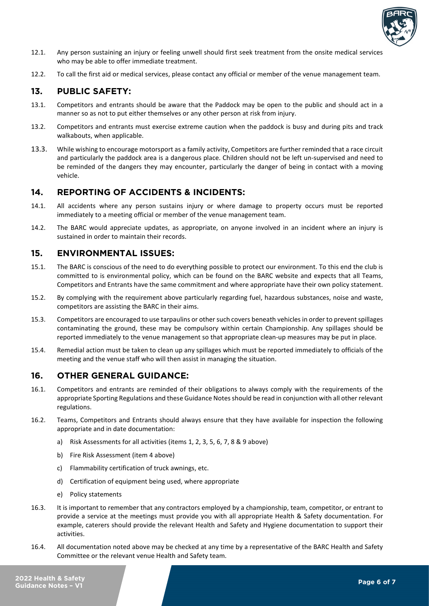

- 12.1. Any person sustaining an injury or feeling unwell should first seek treatment from the onsite medical services who may be able to offer immediate treatment.
- 12.2. To call the first aid or medical services, please contact any official or member of the venue management team.

## <span id="page-5-0"></span>**13. PUBLIC SAFETY:**

- 13.1. Competitors and entrants should be aware that the Paddock may be open to the public and should act in a manner so as not to put either themselves or any other person at risk from injury.
- 13.2. Competitors and entrants must exercise extreme caution when the paddock is busy and during pits and track walkabouts, when applicable.
- 13.3. While wishing to encourage motorsport as a family activity, Competitors are further reminded that a race circuit and particularly the paddock area is a dangerous place. Children should not be left un-supervised and need to be reminded of the dangers they may encounter, particularly the danger of being in contact with a moving vehicle.

#### <span id="page-5-1"></span>**14. REPORTING OF ACCIDENTS & INCIDENTS:**

- 14.1. All accidents where any person sustains injury or where damage to property occurs must be reported immediately to a meeting official or member of the venue management team.
- 14.2. The BARC would appreciate updates, as appropriate, on anyone involved in an incident where an injury is sustained in order to maintain their records.

#### <span id="page-5-2"></span>**15. ENVIRONMENTAL ISSUES:**

- 15.1. The BARC is conscious of the need to do everything possible to protect our environment. To this end the club is committed to is environmental policy, which can be found on the BARC website and expects that all Teams, Competitors and Entrants have the same commitment and where appropriate have their own policy statement.
- 15.2. By complying with the requirement above particularly regarding fuel, hazardous substances, noise and waste, competitors are assisting the BARC in their aims.
- 15.3. Competitors are encouraged to use tarpaulins or other such covers beneath vehicles in order to prevent spillages contaminating the ground, these may be compulsory within certain Championship. Any spillages should be reported immediately to the venue management so that appropriate clean-up measures may be put in place.
- 15.4. Remedial action must be taken to clean up any spillages which must be reported immediately to officials of the meeting and the venue staff who will then assist in managing the situation.

## <span id="page-5-3"></span>**16. OTHER GENERAL GUIDANCE:**

- 16.1. Competitors and entrants are reminded of their obligations to always comply with the requirements of the appropriate Sporting Regulations and these Guidance Notes should be read in conjunction with all other relevant regulations.
- 16.2. Teams, Competitors and Entrants should always ensure that they have available for inspection the following appropriate and in date documentation:
	- a) Risk Assessments for all activities (items 1, 2, 3, 5, 6, 7, 8 & 9 above)
	- b) Fire Risk Assessment (item 4 above)
	- c) Flammability certification of truck awnings, etc.
	- d) Certification of equipment being used, where appropriate
	- e) Policy statements
- 16.3. It is important to remember that any contractors employed by a championship, team, competitor, or entrant to provide a service at the meetings must provide you with all appropriate Health & Safety documentation. For example, caterers should provide the relevant Health and Safety and Hygiene documentation to support their activities.
- 16.4. All documentation noted above may be checked at any time by a representative of the BARC Health and Safety Committee or the relevant venue Health and Safety team.